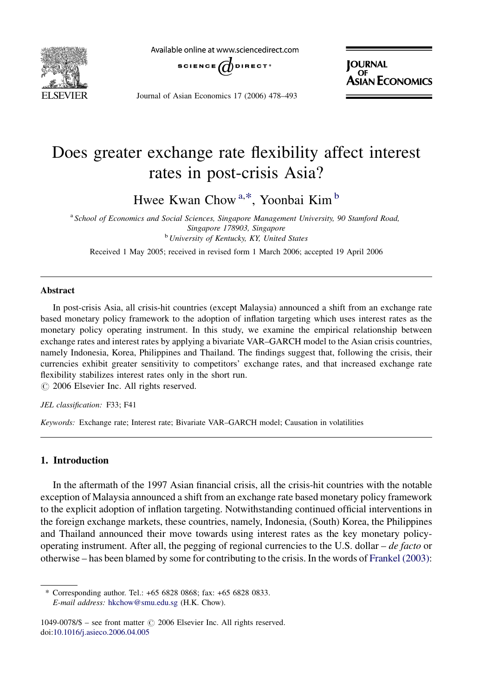

Available online at www.sciencedirect.com



Journal of Asian Economics 17 (2006) 478–493

**JOURNAL N ECONOMICS** 

## Does greater exchange rate flexibility affect interest rates in post-crisis Asia?

Hwee Kwan Chow<sup>a,\*</sup>, Yoonbai Kim<sup>b</sup>

<sup>a</sup> School of Economics and Social Sciences, Singapore Management University, 90 Stamford Road, Singapore 178903, Singapore **b** University of Kentucky, KY, United States

Received 1 May 2005; received in revised form 1 March 2006; accepted 19 April 2006

## Abstract

In post-crisis Asia, all crisis-hit countries (except Malaysia) announced a shift from an exchange rate based monetary policy framework to the adoption of inflation targeting which uses interest rates as the monetary policy operating instrument. In this study, we examine the empirical relationship between exchange rates and interest rates by applying a bivariate VAR–GARCH model to the Asian crisis countries, namely Indonesia, Korea, Philippines and Thailand. The findings suggest that, following the crisis, their currencies exhibit greater sensitivity to competitors' exchange rates, and that increased exchange rate flexibility stabilizes interest rates only in the short run.

 $\circ$  2006 Elsevier Inc. All rights reserved.

JEL classification: F33; F41

Keywords: Exchange rate; Interest rate; Bivariate VAR–GARCH model; Causation in volatilities

## 1. Introduction

In the aftermath of the 1997 Asian financial crisis, all the crisis-hit countries with the notable exception of Malaysia announced a shift from an exchange rate based monetary policy framework to the explicit adoption of inflation targeting. Notwithstanding continued official interventions in the foreign exchange markets, these countries, namely, Indonesia, (South) Korea, the Philippines and Thailand announced their move towards using interest rates as the key monetary policyoperating instrument. After all, the pegging of regional currencies to the U.S. dollar – de facto or otherwise – has been blamed by some for contributing to the crisis. In the words of [Frankel \(2003\)](#page--1-0):

<sup>\*</sup> Corresponding author. Tel.: +65 6828 0868; fax: +65 6828 0833. E-mail address: [hkchow@smu.edu.sg](mailto:hkchow@smu.edu.sg) (H.K. Chow).

<sup>1049-0078/\$ –</sup> see front matter  $\odot$  2006 Elsevier Inc. All rights reserved. doi[:10.1016/j.asieco.2006.04.005](http://dx.doi.org/10.1016/j.asieco.2006.04.005)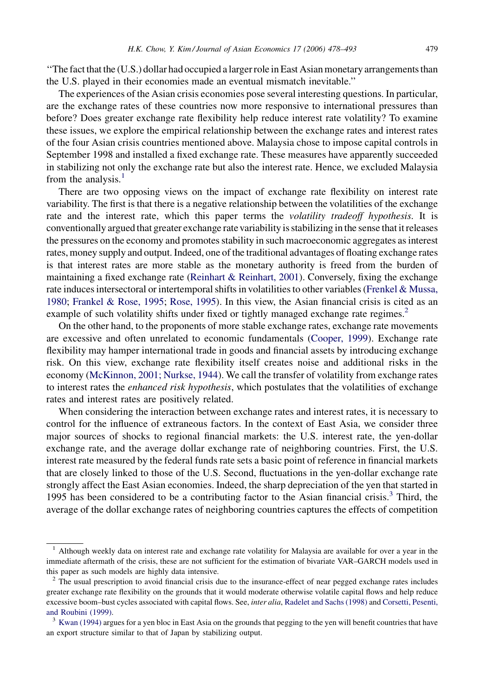''The fact that the (U.S.) dollar had occupied a larger role in East Asian monetary arrangements than the U.S. played in their economies made an eventual mismatch inevitable.''

The experiences of the Asian crisis economies pose several interesting questions. In particular, are the exchange rates of these countries now more responsive to international pressures than before? Does greater exchange rate flexibility help reduce interest rate volatility? To examine these issues, we explore the empirical relationship between the exchange rates and interest rates of the four Asian crisis countries mentioned above. Malaysia chose to impose capital controls in September 1998 and installed a fixed exchange rate. These measures have apparently succeeded in stabilizing not only the exchange rate but also the interest rate. Hence, we excluded Malaysia from the analysis. $<sup>1</sup>$ </sup>

There are two opposing views on the impact of exchange rate flexibility on interest rate variability. The first is that there is a negative relationship between the volatilities of the exchange rate and the interest rate, which this paper terms the *volatility tradeoff hypothesis*. It is conventionally argued that greater exchange rate variability is stabilizing in the sense that it releases the pressures on the economy and promotes stability in such macroeconomic aggregates as interest rates, money supply and output. Indeed, one of the traditional advantages of floating exchange rates is that interest rates are more stable as the monetary authority is freed from the burden of maintaining a fixed exchange rate [\(Reinhart & Reinhart, 2001](#page--1-0)). Conversely, fixing the exchange rate induces intersectoral or intertemporal shifts in volatilities to other variables [\(Frenkel & Mussa,](#page--1-0) [1980](#page--1-0); [Frankel & Rose, 1995](#page--1-0); [Rose, 1995](#page--1-0)). In this view, the Asian financial crisis is cited as an example of such volatility shifts under fixed or tightly managed exchange rate regimes.<sup>2</sup>

On the other hand, to the proponents of more stable exchange rates, exchange rate movements are excessive and often unrelated to economic fundamentals ([Cooper, 1999\)](#page--1-0). Exchange rate flexibility may hamper international trade in goods and financial assets by introducing exchange risk. On this view, exchange rate flexibility itself creates noise and additional risks in the economy [\(McKinnon, 2001; Nurkse, 1944](#page--1-0)). We call the transfer of volatility from exchange rates to interest rates the *enhanced risk hypothesis*, which postulates that the volatilities of exchange rates and interest rates are positively related.

When considering the interaction between exchange rates and interest rates, it is necessary to control for the influence of extraneous factors. In the context of East Asia, we consider three major sources of shocks to regional financial markets: the U.S. interest rate, the yen-dollar exchange rate, and the average dollar exchange rate of neighboring countries. First, the U.S. interest rate measured by the federal funds rate sets a basic point of reference in financial markets that are closely linked to those of the U.S. Second, fluctuations in the yen-dollar exchange rate strongly affect the East Asian economies. Indeed, the sharp depreciation of the yen that started in 1995 has been considered to be a contributing factor to the Asian financial crisis. $3$  Third, the average of the dollar exchange rates of neighboring countries captures the effects of competition

 $<sup>1</sup>$  Although weekly data on interest rate and exchange rate volatility for Malaysia are available for over a year in the</sup> immediate aftermath of the crisis, these are not sufficient for the estimation of bivariate VAR–GARCH models used in this paper as such models are highly data intensive.

<sup>&</sup>lt;sup>2</sup> The usual prescription to avoid financial crisis due to the insurance-effect of near pegged exchange rates includes greater exchange rate flexibility on the grounds that it would moderate otherwise volatile capital flows and help reduce excessive boom-bust cycles associated with capital flows. See, inter alia, [Radelet and Sachs \(1998\)](#page--1-0) and [Corsetti, Pesenti,](#page--1-0) [and Roubini \(1999\)](#page--1-0).<br><sup>3</sup> [Kwan \(1994\)](#page--1-0) argues for a yen bloc in East Asia on the grounds that pegging to the yen will benefit countries that have

an export structure similar to that of Japan by stabilizing output.